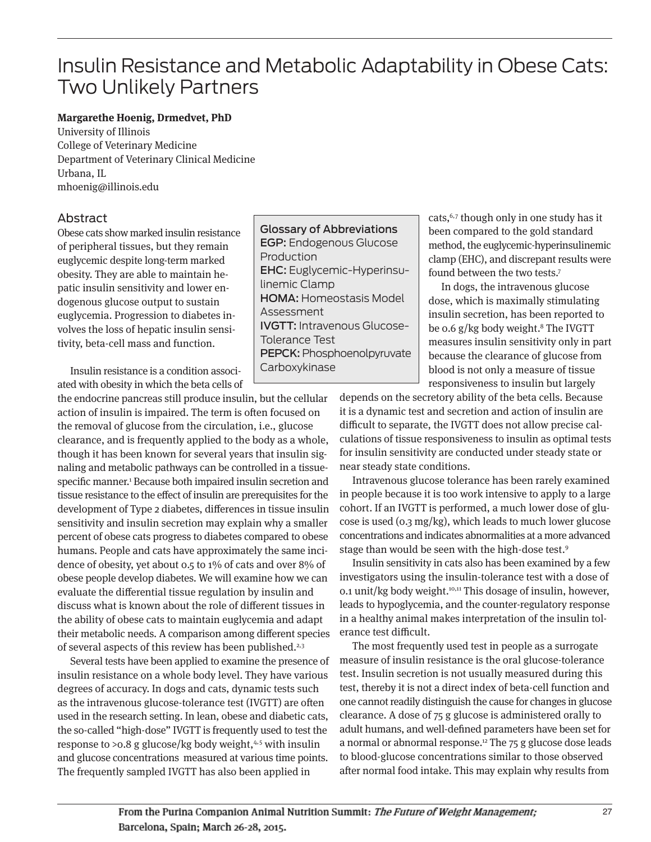# Insulin Resistance and Metabolic Adaptability in Obese Cats: Two Unlikely Partners

#### **Margarethe Hoenig, Drmedvet, PhD**

University of Illinois College of Veterinary Medicine Department of Veterinary Clinical Medicine Urbana, IL mhoenig@illinois.edu

## Abstract

Obese cats show marked insulin resistance of peripheral tissues, but they remain euglycemic despite long-term marked obesity. They are able to maintain hepatic insulin sensitivity and lower endogenous glucose output to sustain euglycemia. Progression to diabetes involves the loss of hepatic insulin sensitivity, beta-cell mass and function.

Insulin resistance is a condition associated with obesity in which the beta cells of

the endocrine pancreas still produce insulin, but the cellular action of insulin is impaired. The term is often focused on the removal of glucose from the circulation, i.e., glucose clearance, and is frequently applied to the body as a whole, though it has been known for several years that insulin signaling and metabolic pathways can be controlled in a tissuespecific manner.<sup>1</sup> Because both impaired insulin secretion and tissue resistance to the effect of insulin are prerequisites for the development of Type 2 diabetes, differences in tissue insulin sensitivity and insulin secretion may explain why a smaller percent of obese cats progress to diabetes compared to obese humans. People and cats have approximately the same incidence of obesity, yet about 0.5 to 1% of cats and over 8% of obese people develop diabetes. We will examine how we can evaluate the differential tissue regulation by insulin and discuss what is known about the role of different tissues in the ability of obese cats to maintain euglycemia and adapt their metabolic needs. A comparison among different species of several aspects of this review has been published.<sup>2,3</sup>

Several tests have been applied to examine the presence of insulin resistance on a whole body level. They have various degrees of accuracy. In dogs and cats, dynamic tests such as the intravenous glucose-tolerance test (IVGTT) are often used in the research setting. In lean, obese and diabetic cats, the so-called "high-dose" IVGTT is frequently used to test the response to  $>0.8$  g glucose/kg body weight, $4.5$  with insulin and glucose concentrations measured at various time points. The frequently sampled IVGTT has also been applied in

Glossary of Abbreviations EGP: Endogenous Glucose Production EHC: Euglycemic-Hyperinsulinemic Clamp HOMA: Homeostasis Model Assessment IVGTT: Intravenous Glucose-Tolerance Test PEPCK: Phosphoenolpyruvate Carboxykinase

cats,6,7 though only in one study has it been compared to the gold standard method, the euglycemic-hyperinsulinemic clamp (EHC), and discrepant results were found between the two tests.7

In dogs, the intravenous glucose dose, which is maximally stimulating insulin secretion, has been reported to be 0.6 g/kg body weight.<sup>8</sup> The IVGTT measures insulin sensitivity only in part because the clearance of glucose from blood is not only a measure of tissue responsiveness to insulin but largely

depends on the secretory ability of the beta cells. Because it is a dynamic test and secretion and action of insulin are difficult to separate, the IVGTT does not allow precise calculations of tissue responsiveness to insulin as optimal tests for insulin sensitivity are conducted under steady state or near steady state conditions.

Intravenous glucose tolerance has been rarely examined in people because it is too work intensive to apply to a large cohort. If an IVGTT is performed, a much lower dose of glucose is used (0.3 mg/kg), which leads to much lower glucose concentrations and indicates abnormalities at a more advanced stage than would be seen with the high-dose test.9

Insulin sensitivity in cats also has been examined by a few investigators using the insulin-tolerance test with a dose of 0.1 unit/kg body weight.10,11 This dosage of insulin, however, leads to hypoglycemia, and the counter-regulatory response in a healthy animal makes interpretation of the insulin tolerance test difficult.

The most frequently used test in people as a surrogate measure of insulin resistance is the oral glucose-tolerance test. Insulin secretion is not usually measured during this test, thereby it is not a direct index of beta-cell function and one cannot readily distinguish the cause for changes in glucose clearance. A dose of 75 g glucose is administered orally to adult humans, and well-defined parameters have been set for a normal or abnormal response.<sup>12</sup> The  $75$  g glucose dose leads to blood-glucose concentrations similar to those observed after normal food intake. This may explain why results from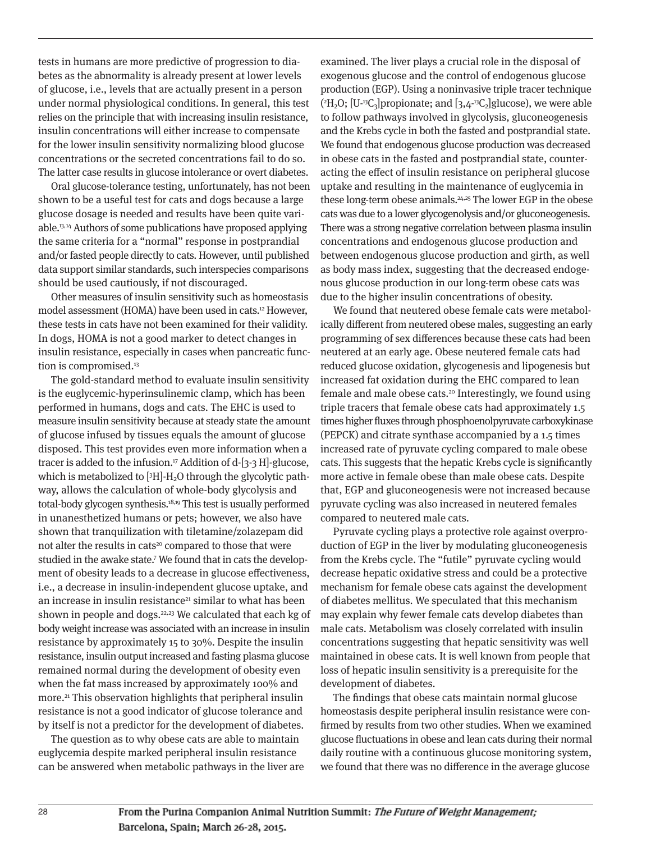tests in humans are more predictive of progression to diabetes as the abnormality is already present at lower levels of glucose, i.e., levels that are actually present in a person under normal physiological conditions. In general, this test relies on the principle that with increasing insulin resistance, insulin concentrations will either increase to compensate for the lower insulin sensitivity normalizing blood glucose concentrations or the secreted concentrations fail to do so. The latter case results in glucose intolerance or overt diabetes.

Oral glucose-tolerance testing, unfortunately, has not been shown to be a useful test for cats and dogs because a large glucose dosage is needed and results have been quite variable.13,14 Authors of some publications have proposed applying the same criteria for a "normal" response in postprandial and/or fasted people directly to cats. However, until published data support similar standards, such interspecies comparisons should be used cautiously, if not discouraged.

Other measures of insulin sensitivity such as homeostasis model assessment (HOMA) have been used in cats.12 However, these tests in cats have not been examined for their validity. In dogs, HOMA is not a good marker to detect changes in insulin resistance, especially in cases when pancreatic function is compromised.<sup>13</sup>

The gold-standard method to evaluate insulin sensitivity is the euglycemic-hyperinsulinemic clamp, which has been performed in humans, dogs and cats. The EHC is used to measure insulin sensitivity because at steady state the amount of glucose infused by tissues equals the amount of glucose disposed. This test provides even more information when a tracer is added to the infusion.<sup>17</sup> Addition of d- $[3-3]$  H $]$ -glucose, which is metabolized to  $[3H]$ - $H_2O$  through the glycolytic pathway, allows the calculation of whole-body glycolysis and total-body glycogen synthesis.18,19 This test is usually performed in unanesthetized humans or pets; however, we also have shown that tranquilization with tiletamine/zolazepam did not alter the results in cats<sup>20</sup> compared to those that were studied in the awake state.7 We found that in cats the development of obesity leads to a decrease in glucose effectiveness, i.e., a decrease in insulin-independent glucose uptake, and an increase in insulin resistance<sup>21</sup> similar to what has been shown in people and dogs. $22,23$  We calculated that each kg of body weight increase was associated with an increase in insulin resistance by approximately 15 to 30%. Despite the insulin resistance, insulin output increased and fasting plasma glucose remained normal during the development of obesity even when the fat mass increased by approximately 100% and more.<sup>21</sup> This observation highlights that peripheral insulin resistance is not a good indicator of glucose tolerance and by itself is not a predictor for the development of diabetes.

The question as to why obese cats are able to maintain euglycemia despite marked peripheral insulin resistance can be answered when metabolic pathways in the liver are

examined. The liver plays a crucial role in the disposal of exogenous glucose and the control of endogenous glucose production (EGP). Using a noninvasive triple tracer technique ( $^{2}{\rm H}_{2}{\rm O};$  [U-13C<sub>3</sub>]propionate; and [3,4-13C<sub>2</sub>]glucose), we were able to follow pathways involved in glycolysis, gluconeogenesis and the Krebs cycle in both the fasted and postprandial state. We found that endogenous glucose production was decreased in obese cats in the fasted and postprandial state, counteracting the effect of insulin resistance on peripheral glucose uptake and resulting in the maintenance of euglycemia in these long-term obese animals.<sup>24,25</sup> The lower EGP in the obese cats was due to a lower glycogenolysis and/or gluconeogenesis. There was a strong negative correlation between plasma insulin concentrations and endogenous glucose production and between endogenous glucose production and girth, as well as body mass index, suggesting that the decreased endogenous glucose production in our long-term obese cats was due to the higher insulin concentrations of obesity.

We found that neutered obese female cats were metabolically different from neutered obese males, suggesting an early programming of sex differences because these cats had been neutered at an early age. Obese neutered female cats had reduced glucose oxidation, glycogenesis and lipogenesis but increased fat oxidation during the EHC compared to lean female and male obese cats.<sup>20</sup> Interestingly, we found using triple tracers that female obese cats had approximately 1.5 times higher fluxes through phosphoenolpyruvate carboxykinase (PEPCK) and citrate synthase accompanied by a 1.5 times increased rate of pyruvate cycling compared to male obese cats. This suggests that the hepatic Krebs cycle is significantly more active in female obese than male obese cats. Despite that, EGP and gluconeogenesis were not increased because pyruvate cycling was also increased in neutered females compared to neutered male cats.

Pyruvate cycling plays a protective role against overproduction of EGP in the liver by modulating gluconeogenesis from the Krebs cycle. The "futile" pyruvate cycling would decrease hepatic oxidative stress and could be a protective mechanism for female obese cats against the development of diabetes mellitus. We speculated that this mechanism may explain why fewer female cats develop diabetes than male cats. Metabolism was closely correlated with insulin concentrations suggesting that hepatic sensitivity was well maintained in obese cats. It is well known from people that loss of hepatic insulin sensitivity is a prerequisite for the development of diabetes.

The findings that obese cats maintain normal glucose homeostasis despite peripheral insulin resistance were confirmed by results from two other studies. When we examined glucose fluctuations in obese and lean cats during their normal daily routine with a continuous glucose monitoring system, we found that there was no difference in the average glucose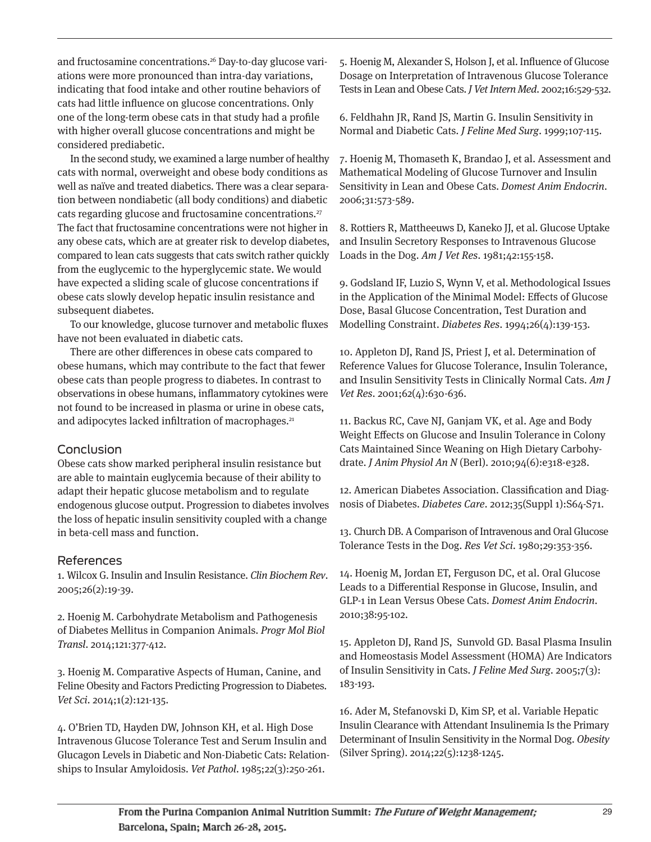and fructosamine concentrations.26 Day-to-day glucose variations were more pronounced than intra-day variations, indicating that food intake and other routine behaviors of cats had little influence on glucose concentrations. Only one of the long-term obese cats in that study had a profile with higher overall glucose concentrations and might be considered prediabetic.

In the second study, we examined a large number of healthy cats with normal, overweight and obese body conditions as well as naïve and treated diabetics. There was a clear separation between nondiabetic (all body conditions) and diabetic cats regarding glucose and fructosamine concentrations.27 The fact that fructosamine concentrations were not higher in any obese cats, which are at greater risk to develop diabetes, compared to lean cats suggests that cats switch rather quickly from the euglycemic to the hyperglycemic state. We would have expected a sliding scale of glucose concentrations if obese cats slowly develop hepatic insulin resistance and subsequent diabetes.

To our knowledge, glucose turnover and metabolic fluxes have not been evaluated in diabetic cats.

There are other differences in obese cats compared to obese humans, which may contribute to the fact that fewer obese cats than people progress to diabetes. In contrast to observations in obese humans, inflammatory cytokines were not found to be increased in plasma or urine in obese cats, and adipocytes lacked infiltration of macrophages.<sup>21</sup>

## Conclusion

Obese cats show marked peripheral insulin resistance but are able to maintain euglycemia because of their ability to adapt their hepatic glucose metabolism and to regulate endogenous glucose output. Progression to diabetes involves the loss of hepatic insulin sensitivity coupled with a change in beta-cell mass and function.

## References

1. Wilcox G. Insulin and Insulin Resistance. Clin Biochem Rev. 2005;26(2):19-39.

2. Hoenig M. Carbohydrate Metabolism and Pathogenesis of Diabetes Mellitus in Companion Animals. Progr Mol Biol Transl. 2014;121:377-412.

3. Hoenig M. Comparative Aspects of Human, Canine, and Feline Obesity and Factors Predicting Progression to Diabetes. Vet Sci. 2014;1(2):121-135.

4. O'Brien TD, Hayden DW, Johnson KH, et al. High Dose Intravenous Glucose Tolerance Test and Serum Insulin and Glucagon Levels in Diabetic and Non-Diabetic Cats: Relationships to Insular Amyloidosis. Vet Pathol. 1985;22(3):250-261.

5. Hoenig M, Alexander S, Holson J, et al. Influence of Glucose Dosage on Interpretation of Intravenous Glucose Tolerance Tests in Lean and Obese Cats. J Vet Intern Med. 2002;16:529-532.

6. Feldhahn JR, Rand JS, Martin G. Insulin Sensitivity in Normal and Diabetic Cats. J Feline Med Surg. 1999;107-115.

7. Hoenig M, Thomaseth K, Brandao J, et al. Assessment and Mathematical Modeling of Glucose Turnover and Insulin Sensitivity in Lean and Obese Cats. Domest Anim Endocrin. 2006;31:573-589.

8. Rottiers R, Mattheeuws D, Kaneko JJ, et al. Glucose Uptake and Insulin Secretory Responses to Intravenous Glucose Loads in the Dog. Am J Vet Res. 1981;42:155-158.

9. Godsland IF, Luzio S, Wynn V, et al. Methodological Issues in the Application of the Minimal Model: Effects of Glucose Dose, Basal Glucose Concentration, Test Duration and Modelling Constraint. Diabetes Res. 1994;26(4):139-153.

10. Appleton DJ, Rand JS, Priest J, et al. Determination of Reference Values for Glucose Tolerance, Insulin Tolerance, and Insulin Sensitivity Tests in Clinically Normal Cats. Am J Vet Res. 2001;62(4):630-636.

11. Backus RC, Cave NJ, Ganjam VK, et al. Age and Body Weight Effects on Glucose and Insulin Tolerance in Colony Cats Maintained Since Weaning on High Dietary Carbohydrate. J Anim Physiol An N (Berl). 2010;94(6):e318-e328.

12. American Diabetes Association. Classification and Diagnosis of Diabetes. Diabetes Care. 2012;35(Suppl 1):S64-S71.

13. Church DB. A Comparison of Intravenous and Oral Glucose Tolerance Tests in the Dog. Res Vet Sci. 1980;29:353-356.

14. Hoenig M, Jordan ET, Ferguson DC, et al. Oral Glucose Leads to a Differential Response in Glucose, Insulin, and GLP-1 in Lean Versus Obese Cats. Domest Anim Endocrin. 2010;38:95-102.

15. Appleton DJ, Rand JS, Sunvold GD. Basal Plasma Insulin and Homeostasis Model Assessment (HOMA) Are Indicators of Insulin Sensitivity in Cats. J Feline Med Surg. 2005;7(3): 183-193.

16. Ader M, Stefanovski D, Kim SP, et al. Variable Hepatic Insulin Clearance with Attendant Insulinemia Is the Primary Determinant of Insulin Sensitivity in the Normal Dog. Obesity (Silver Spring). 2014;22(5):1238-1245.